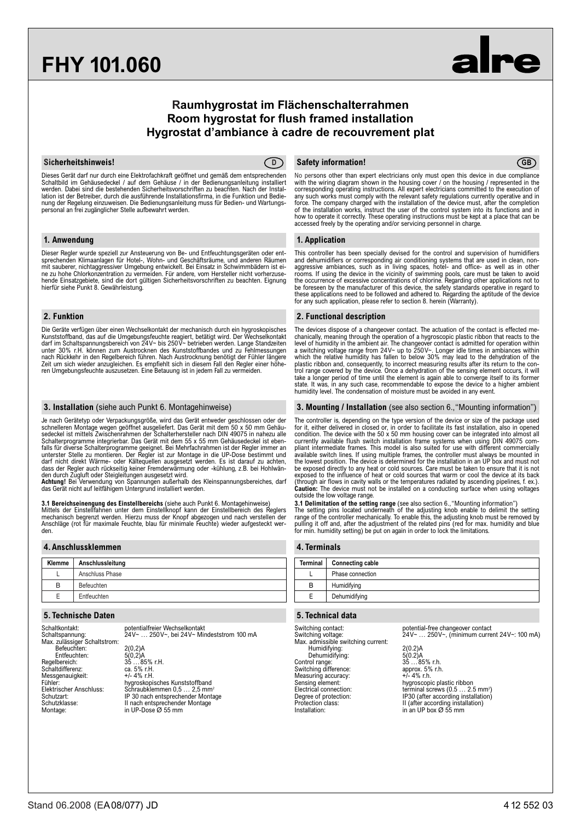# **FHY 101.060**

## **Raumhygrostat im Flächenschalterrahmen Room hygrostat for flush framed installation Hygrostat d'ambiance à cadre de recouvrement plat**



Dieses Gerät darf nur durch eine Elektrofachkraft geöffnet und gemäß dem entsprechenden<br>Schaltbild im Gehäusedeckel / auf dem Gehäuse / in der Bedienungsanleitung installiert<br>werden. Dabei sind die bestehenden Sicherheitsv lation ist der Betreiber, durch die ausführende Installationsfirma, in die Funktion und Bedie-<br>nung der Regelung einzuweisen. Die Bedienungsanleitung muss für Bedien- und Wartungspersonal an frei zugänglicher Stelle aufbewahrt werden.

#### **1. Anwendung**

Dieser Regler wurde speziell zur Ansteuerung von Be- und Entfeuchtungsgeräten oder ent-sprechenden Klimaanlagen für Hotel-, Wohn- und Geschäftsräume, und anderen Räumen mit sauberer, nichtaggressiver Umgebung entwickelt. Bei Einsatz in Schwimmbädern ist ei-ne zu hohe Chlorkonzentration zu vermeiden. Für andere, vom Hersteller nicht vorherzusehende Einsatzgebiete, sind die dort gültigen Sicherheitsvorschriften zu beachten. Eignung hierfür siehe Punkt 8. Gewährleistung.

### **2. Funktion**

Die Geräte verfügen über einen Wechselkontakt der mechanisch durch ein hygroskopisches<br>Kunststoffband, das auf die Umgebungsfeuchte reagiert, betätigt wird. Der Wechselkontakt<br>darf im Schaltspannungsbereich von 24V~ bis 25 nach Rückkehr in den Regelbereich führen. Nach Austrocknung benötigt der Fühler längere Zeit um sich wieder anzugleichen. Es empfiehlt sich in diesem Fall den Regler einer höheren Umgebungsfeuchte auszusetzen. Eine Betauung ist in jedem Fall zu vermeiden.

#### **3. Installation** (siehe auch Punkt 6. Montagehinweise)

Je nach Gerätetyp oder Verpackungsgröße, wird das Gerät entweder geschlossen oder der schnelleren Montage wegen geöffnet ausgeliefert. Das Gerät mit dem 50 x 50 mm Gehäu-<br>sedeckel ist mittels Zwischenrahmen der Schalterhersteller nach DIN 49075 in nahezu alle<br>Schalterprogramme integrierbar. Das Gerät mit de falls für diverse Schalterprogramme geeignet. Bei Mehrfachrahmen ist der Regler immer an unterster Stelle zu montieren. Der Regler ist zur Montage in die UP-Dose bestimmt und darf nicht direkt Wärme- oder Kältequellen ausgesetzt werden. Es ist darauf zu achten, dass der Regler auch rückseitig keiner Fremderwärmung oder -kühlung, z.B. bei Hohlwänden durch Zugluft oder Steigleitungen ausgesetzt wird.

**Achtung!** Bei Verwendung von Spannungen außerhalb des Kleinspannungsbereiches, darf<br>das Gerät nicht auf leitfähigem Untergrund installiert werden.

**3.1 Bereichseinengung des Einstellbereichs** (siehe auch Punkt 6. Montagehinweise) Mittels der Einstellfahnen unter dem Einstellknopf kann der Einstellbereich des Reglers<br>mechanisch begrenzt werden. Hierzu muss der Knopf abgezogen und nach verstellen der<br>Anschläge (rot für maximale Feuchte, blau für mini den.

#### **4.Anschlussklemmen**

| Klemme | Anschlussleitung |
|--------|------------------|
|        | Anschluss Phase  |
| B      | Befeuchten       |
| F      | Entfeuchten      |

### **5.Technische Daten**

Schaltkontakt: potentialfreier Wechselkontakt Schaltspannung: 24V~ … 250V~, bei 24V~ Mindeststrom 100 mA Max. zulässiger Schaltstrom: Befeuchten: 2(0,2)A Entfeuchten:<br>Entfeuchten:<br>Regelbereich: 5(0,2)A<br>35 …85% r.H.<br>ca. 5% r.H.<br>+/- 4% r.H. Schaltdifferenz: Messgenauigkeit:<br>Fühler: Fühler: Same Schwarzer Hygroskopisches Kunststoffband<br>Elektrischer Anschluss: Schraubklemmen 0.5 ... 2.5 mm Elektrischer Anschluss: Schraubklemmen 0,5 … 2,5 mm2 Schutzart: IP 30 nach entsprechender Montage Schutzklasse: II nach entsprechender Montage Montage: in UP-Dose Ø 55 mm

#### **Sicherheitshinweis! Safety information! D GB**

No persons other than expert electricians only must open this device in due compliance with the wiring diagram shown in the housing cover / on the housing / represented in the corresponding operating instructions. All expert electricians committed to the execution of any such works must comply with the relevant safety regulations currently operative and in<br>force. The company charged with the installation of the device must, after the completion<br>of the installation works, instruct the u how to operate it correctly. These operating instructions must be kept at a place that can be accessed freely by the operating and/or servicing personnel in charge.

### **1. Application**

This controller has been specially devised for the control and supervision of humidifiers and dehumidifiers or corresponding air conditioning systems that are used in clean, nonaggressive ambiances, such as in living spaces, hotel- and office- as well as in other<br>rooms. If using the device in the vicinity of swimming pools, care must be taken to avoid<br>the occurrence of excessive concentrations of

### **2. Functional description**

The devices dispose of a changeover contact. The actuation of the contact is effected me-<br>chanically, meaning through the operation of a hygroscopic plastic ribbon that reacts to the<br>level of humidity in the ambient air. T trol range covered by the device. Once a dehydration of the sensing element occurs, it will<br>take a longer period of time until the element is again able to converge itself to its former<br>state. It was, in any such case, rec humidity level. The condensation of moisture must be avoided in any event.

#### **3. Mounting / Installation** (see also section 6.,"Mounting information")

The controller is, depending on the type version of the device or size of the package used for it, either delivered in closed or, in order to facilitate its fast installation, also in opened condition. The device with the 50 x 50 mm housing cover can be integrated into almost all<br>currently available flush switch installation frame systems when using DIN 49075 com-<br>pliant intermediate frames. This model is also available switch lines. If using multiple frames, the controller must always be mounted in<br>the lowest position. The device is determined for the installation in an UP box and must not<br>be exposed directly to any heat or col exposed to the influence of heat or cold sources that warm or cool the device at its back (through air flows in cavity walls or the temperatures radiated by ascending pipelines, f. ex.). **Caution:** The device must not be installed on a conducting surface when using voltages outside the low voltage range.

**3.1 Delimitation of the setting range** (see also section 6., "Mounting information")<br>The setting pins located underneath of the adjusting knob enable to delimit the setting<br>range of the controller mechanically. To enable pulling it off and, after the adjustment of the related pins (red for max. humidity and blue for min. humidity setting) be put on again in order to lock the limitations.

| 4. Terminals    |                         |  |  |
|-----------------|-------------------------|--|--|
| <b>Terminal</b> | <b>Connecting cable</b> |  |  |
|                 | Phase connection        |  |  |
| B               | Humidifying             |  |  |
| Е               | Dehumidifying           |  |  |
|                 |                         |  |  |

### **5.Technical data**

Switching voltage:<br>Max. admissible switching current: Humidifying: 2(0.2)A Dehumidifying: 5(0.2)A Control range:<br>
Control range:<br>
Control range:<br>
Styliching difference:<br>
Styliching difference:<br>
Measuring accuracy:<br>
Measuring accuracy:<br>
Henry Control Henry Henry S. Stylich.<br>
Measuring accuracy: Switching difference: Measuring accuracy:<br>Sensing element: Installation: in an UP box Ø 55 mm

Switching contact: potential-free changeover contact Switching voltage: 24V~ … 250V~, (minimum current 24V~: 100 mA)

Sensing element: hygroscopic plastic ribbon Electrical connection: terminal screws (0.5 … 2.5 mm2 ) Degree of protection: IP30 (after according installation) Protection class: II (after according installation)